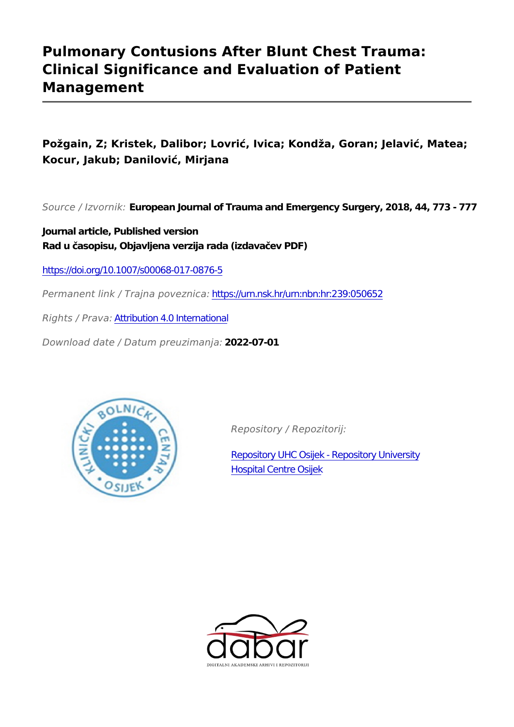# **Pulmonary Contusions After Blunt Chest Trauma: Clinical Significance and Evaluation of Patient Management**

**Požgain, Z; Kristek, Dalibor; Lovrić, Ivica; Kondža, Goran; Jelavić, Matea; Kocur, Jakub; Danilović, Mirjana**

*Source / Izvornik:* **European Journal of Trauma and Emergency Surgery, 2018, 44, 773 - 777**

**Journal article, Published version Rad u časopisu, Objavljena verzija rada (izdavačev PDF)**

<https://doi.org/10.1007/s00068-017-0876-5>

*Permanent link / Trajna poveznica:* <https://urn.nsk.hr/urn:nbn:hr:239:050652>

*Rights / Prava:* [Attribution 4.0 International](http://creativecommons.org/licenses/by/4.0/)

*Download date / Datum preuzimanja:* **2022-07-01**



*Repository / Repozitorij:*

[Repository UHC Osijek - Repository University](https://repozitorij.kbco.hr) [Hospital Centre Osijek](https://repozitorij.kbco.hr)

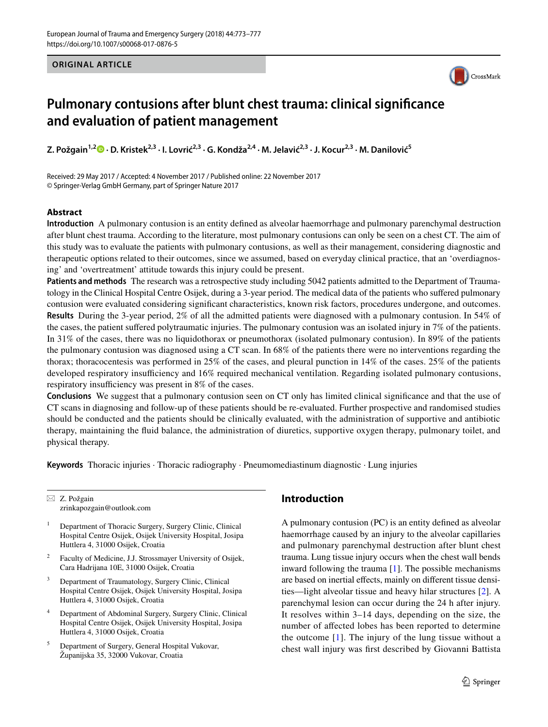#### **ORIGINAL ARTICLE**



## **Pulmonary contusions after blunt chest trauma: clinical significance and evaluation of patient management**

**Z. Požgain<sup>1,2</sup> •· D. Kristek<sup>2,3</sup> [·](http://orcid.org/0000-0003-2690-3462) I. Lovrić<sup>2,3</sup> · G. Kondža<sup>2,4</sup> · M. Jelavić<sup>2,3</sup> · J. Kocur<sup>2,3</sup> · M. Danilović<sup>5</sup>** 

Received: 29 May 2017 / Accepted: 4 November 2017 / Published online: 22 November 2017 © Springer-Verlag GmbH Germany, part of Springer Nature 2017

#### **Abstract**

**Introduction** A pulmonary contusion is an entity defined as alveolar haemorrhage and pulmonary parenchymal destruction after blunt chest trauma. According to the literature, most pulmonary contusions can only be seen on a chest CT. The aim of this study was to evaluate the patients with pulmonary contusions, as well as their management, considering diagnostic and therapeutic options related to their outcomes, since we assumed, based on everyday clinical practice, that an 'overdiagnosing' and 'overtreatment' attitude towards this injury could be present.

**Patients and methods** The research was a retrospective study including 5042 patients admitted to the Department of Traumatology in the Clinical Hospital Centre Osijek, during a 3-year period. The medical data of the patients who suffered pulmonary contusion were evaluated considering significant characteristics, known risk factors, procedures undergone, and outcomes. **Results** During the 3-year period, 2% of all the admitted patients were diagnosed with a pulmonary contusion. In 54% of the cases, the patient suffered polytraumatic injuries. The pulmonary contusion was an isolated injury in 7% of the patients. In 31% of the cases, there was no liquidothorax or pneumothorax (isolated pulmonary contusion). In 89% of the patients the pulmonary contusion was diagnosed using a CT scan. In 68% of the patients there were no interventions regarding the thorax; thoracocentesis was performed in 25% of the cases, and pleural punction in 14% of the cases. 25% of the patients developed respiratory insufficiency and 16% required mechanical ventilation. Regarding isolated pulmonary contusions, respiratory insufficiency was present in 8% of the cases.

**Conclusions** We suggest that a pulmonary contusion seen on CT only has limited clinical significance and that the use of CT scans in diagnosing and follow-up of these patients should be re-evaluated. Further prospective and randomised studies should be conducted and the patients should be clinically evaluated, with the administration of supportive and antibiotic therapy, maintaining the fluid balance, the administration of diuretics, supportive oxygen therapy, pulmonary toilet, and physical therapy.

**Keywords** Thoracic injuries · Thoracic radiography · Pneumomediastinum diagnostic · Lung injuries

 $\boxtimes$  Z. Požgain zrinkapozgain@outlook.com

- <sup>1</sup> Department of Thoracic Surgery, Surgery Clinic, Clinical Hospital Centre Osijek, Osijek University Hospital, Josipa Huttlera 4, 31000 Osijek, Croatia
- Faculty of Medicine, J.J. Strossmayer University of Osijek, Cara Hadrijana 10E, 31000 Osijek, Croatia
- <sup>3</sup> Department of Traumatology, Surgery Clinic, Clinical Hospital Centre Osijek, Osijek University Hospital, Josipa Huttlera 4, 31000 Osijek, Croatia
- <sup>4</sup> Department of Abdominal Surgery, Surgery Clinic, Clinical Hospital Centre Osijek, Osijek University Hospital, Josipa Huttlera 4, 31000 Osijek, Croatia
- <sup>5</sup> Department of Surgery, General Hospital Vukovar, Županijska 35, 32000 Vukovar, Croatia

## **Introduction**

A pulmonary contusion (PC) is an entity defined as alveolar haemorrhage caused by an injury to the alveolar capillaries and pulmonary parenchymal destruction after blunt chest trauma. Lung tissue injury occurs when the chest wall bends inward following the trauma [[1\]](#page-4-0). The possible mechanisms are based on inertial effects, mainly on different tissue densities—light alveolar tissue and heavy hilar structures [\[2](#page-4-1)]. A parenchymal lesion can occur during the 24 h after injury. It resolves within 3–14 days, depending on the size, the number of affected lobes has been reported to determine the outcome [[1](#page-4-0)]. The injury of the lung tissue without a chest wall injury was first described by Giovanni Battista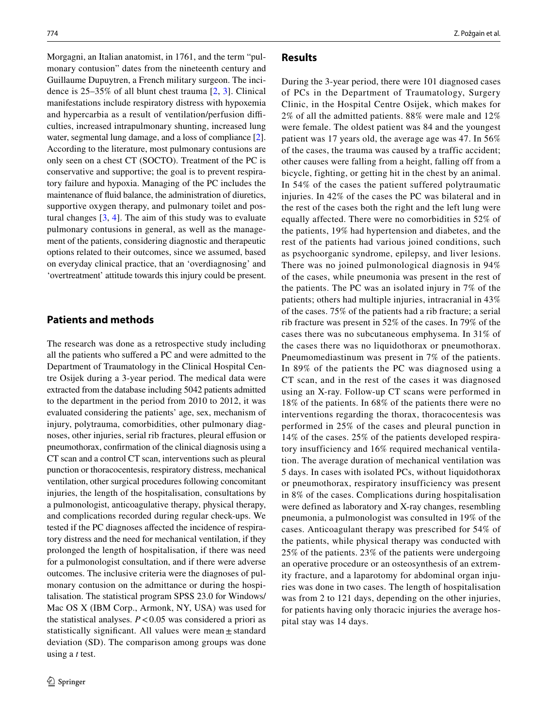Morgagni, an Italian anatomist, in 1761, and the term "pulmonary contusion" dates from the nineteenth century and Guillaume Dupuytren, a French military surgeon. The incidence is 25–35% of all blunt chest trauma [[2,](#page-4-1) [3\]](#page-4-2). Clinical manifestations include respiratory distress with hypoxemia and hypercarbia as a result of ventilation/perfusion difficulties, increased intrapulmonary shunting, increased lung water, segmental lung damage, and a loss of compliance [\[2](#page-4-1)]. According to the literature, most pulmonary contusions are only seen on a chest CT (SOCTO). Treatment of the PC is conservative and supportive; the goal is to prevent respiratory failure and hypoxia. Managing of the PC includes the maintenance of fluid balance, the administration of diuretics, supportive oxygen therapy, and pulmonary toilet and postural changes [\[3](#page-4-2), [4\]](#page-4-3). The aim of this study was to evaluate pulmonary contusions in general, as well as the management of the patients, considering diagnostic and therapeutic options related to their outcomes, since we assumed, based on everyday clinical practice, that an 'overdiagnosing' and 'overtreatment' attitude towards this injury could be present.

## **Patients and methods**

The research was done as a retrospective study including all the patients who suffered a PC and were admitted to the Department of Traumatology in the Clinical Hospital Centre Osijek during a 3-year period. The medical data were extracted from the database including 5042 patients admitted to the department in the period from 2010 to 2012, it was evaluated considering the patients' age, sex, mechanism of injury, polytrauma, comorbidities, other pulmonary diagnoses, other injuries, serial rib fractures, pleural effusion or pneumothorax, confirmation of the clinical diagnosis using a CT scan and a control CT scan, interventions such as pleural punction or thoracocentesis, respiratory distress, mechanical ventilation, other surgical procedures following concomitant injuries, the length of the hospitalisation, consultations by a pulmonologist, anticoagulative therapy, physical therapy, and complications recorded during regular check-ups. We tested if the PC diagnoses affected the incidence of respiratory distress and the need for mechanical ventilation, if they prolonged the length of hospitalisation, if there was need for a pulmonologist consultation, and if there were adverse outcomes. The inclusive criteria were the diagnoses of pulmonary contusion on the admittance or during the hospitalisation. The statistical program SPSS 23.0 for Windows/ Mac OS X (IBM Corp., Armonk, NY, USA) was used for the statistical analyses.  $P < 0.05$  was considered a priori as statistically significant. All values were mean $\pm$  standard deviation (SD). The comparison among groups was done using a *t* test.

#### **Results**

During the 3-year period, there were 101 diagnosed cases of PCs in the Department of Traumatology, Surgery Clinic, in the Hospital Centre Osijek, which makes for 2% of all the admitted patients. 88% were male and 12% were female. The oldest patient was 84 and the youngest patient was 17 years old, the average age was 47. In 56% of the cases, the trauma was caused by a traffic accident; other causes were falling from a height, falling off from a bicycle, fighting, or getting hit in the chest by an animal. In 54% of the cases the patient suffered polytraumatic injuries. In 42% of the cases the PC was bilateral and in the rest of the cases both the right and the left lung were equally affected. There were no comorbidities in 52% of the patients, 19% had hypertension and diabetes, and the rest of the patients had various joined conditions, such as psychoorganic syndrome, epilepsy, and liver lesions. There was no joined pulmonological diagnosis in 94% of the cases, while pneumonia was present in the rest of the patients. The PC was an isolated injury in 7% of the patients; others had multiple injuries, intracranial in 43% of the cases. 75% of the patients had a rib fracture; a serial rib fracture was present in 52% of the cases. In 79% of the cases there was no subcutaneous emphysema. In 31% of the cases there was no liquidothorax or pneumothorax. Pneumomediastinum was present in 7% of the patients. In 89% of the patients the PC was diagnosed using a CT scan, and in the rest of the cases it was diagnosed using an X-ray. Follow-up CT scans were performed in 18% of the patients. In 68% of the patients there were no interventions regarding the thorax, thoracocentesis was performed in 25% of the cases and pleural punction in 14% of the cases. 25% of the patients developed respiratory insufficiency and 16% required mechanical ventilation. The average duration of mechanical ventilation was 5 days. In cases with isolated PCs, without liquidothorax or pneumothorax, respiratory insufficiency was present in 8% of the cases. Complications during hospitalisation were defined as laboratory and X-ray changes, resembling pneumonia, a pulmonologist was consulted in 19% of the cases. Anticoagulant therapy was prescribed for 54% of the patients, while physical therapy was conducted with 25% of the patients. 23% of the patients were undergoing an operative procedure or an osteosynthesis of an extremity fracture, and a laparotomy for abdominal organ injuries was done in two cases. The length of hospitalisation was from 2 to 121 days, depending on the other injuries, for patients having only thoracic injuries the average hospital stay was 14 days.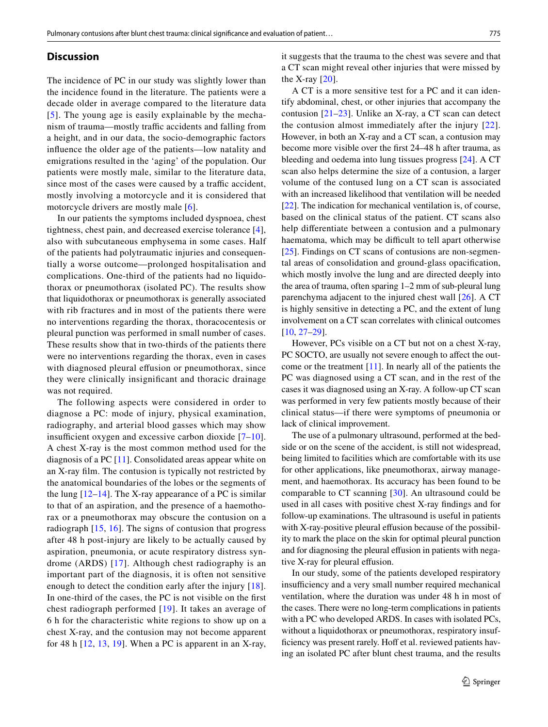#### **Discussion**

The incidence of PC in our study was slightly lower than the incidence found in the literature. The patients were a decade older in average compared to the literature data [[5\]](#page-5-0). The young age is easily explainable by the mechanism of trauma—mostly traffic accidents and falling from a height, and in our data, the socio-demographic factors influence the older age of the patients—low natality and emigrations resulted in the 'aging' of the population. Our patients were mostly male, similar to the literature data, since most of the cases were caused by a traffic accident, mostly involving a motorcycle and it is considered that motorcycle drivers are mostly male [[6](#page-5-1)].

In our patients the symptoms included dyspnoea, chest tightness, chest pain, and decreased exercise tolerance [[4](#page-4-3)], also with subcutaneous emphysema in some cases. Half of the patients had polytraumatic injuries and consequentially a worse outcome—prolonged hospitalisation and complications. One-third of the patients had no liquidothorax or pneumothorax (isolated PC). The results show that liquidothorax or pneumothorax is generally associated with rib fractures and in most of the patients there were no interventions regarding the thorax, thoracocentesis or pleural punction was performed in small number of cases. These results show that in two-thirds of the patients there were no interventions regarding the thorax, even in cases with diagnosed pleural effusion or pneumothorax, since they were clinically insignificant and thoracic drainage was not required.

The following aspects were considered in order to diagnose a PC: mode of injury, physical examination, radiography, and arterial blood gasses which may show insufficient oxygen and excessive carbon dioxide [\[7–](#page-5-2)[10](#page-5-3)]. A chest X-ray is the most common method used for the diagnosis of a PC [\[11\]](#page-5-4). Consolidated areas appear white on an X-ray film. The contusion is typically not restricted by the anatomical boundaries of the lobes or the segments of the lung  $[12-14]$  $[12-14]$  $[12-14]$ . The X-ray appearance of a PC is similar to that of an aspiration, and the presence of a haemothorax or a pneumothorax may obscure the contusion on a radiograph [[15,](#page-5-7) [16\]](#page-5-8). The signs of contusion that progress after 48 h post-injury are likely to be actually caused by aspiration, pneumonia, or acute respiratory distress syndrome (ARDS) [[17](#page-5-9)]. Although chest radiography is an important part of the diagnosis, it is often not sensitive enough to detect the condition early after the injury [[18](#page-5-10)]. In one-third of the cases, the PC is not visible on the first chest radiograph performed [[19](#page-5-11)]. It takes an average of 6 h for the characteristic white regions to show up on a chest X-ray, and the contusion may not become apparent for 48 h  $[12, 13, 19]$  $[12, 13, 19]$  $[12, 13, 19]$  $[12, 13, 19]$  $[12, 13, 19]$  $[12, 13, 19]$ . When a PC is apparent in an X-ray,

it suggests that the trauma to the chest was severe and that a CT scan might reveal other injuries that were missed by the X-ray  $[20]$ .

A CT is a more sensitive test for a PC and it can identify abdominal, chest, or other injuries that accompany the contusion [\[21–](#page-5-14)[23](#page-5-15)]. Unlike an X-ray, a CT scan can detect the contusion almost immediately after the injury [[22](#page-5-16)]. However, in both an X-ray and a CT scan, a contusion may become more visible over the first 24–48 h after trauma, as bleeding and oedema into lung tissues progress [\[24](#page-5-17)]. A CT scan also helps determine the size of a contusion, a larger volume of the contused lung on a CT scan is associated with an increased likelihood that ventilation will be needed [\[22](#page-5-16)]. The indication for mechanical ventilation is, of course, based on the clinical status of the patient. CT scans also help differentiate between a contusion and a pulmonary haematoma, which may be difficult to tell apart otherwise [[25\]](#page-5-18). Findings on CT scans of contusions are non-segmental areas of consolidation and ground-glass opacification, which mostly involve the lung and are directed deeply into the area of trauma, often sparing 1–2 mm of sub-pleural lung parenchyma adjacent to the injured chest wall [[26](#page-5-19)]. A CT is highly sensitive in detecting a PC, and the extent of lung involvement on a CT scan correlates with clinical outcomes [[10,](#page-5-3) [27–](#page-5-20)[29\]](#page-5-21).

However, PCs visible on a CT but not on a chest X-ray, PC SOCTO, are usually not severe enough to affect the outcome or the treatment [\[11](#page-5-4)]. In nearly all of the patients the PC was diagnosed using a CT scan, and in the rest of the cases it was diagnosed using an X-ray. A follow-up CT scan was performed in very few patients mostly because of their clinical status—if there were symptoms of pneumonia or lack of clinical improvement.

The use of a pulmonary ultrasound, performed at the bedside or on the scene of the accident, is still not widespread, being limited to facilities which are comfortable with its use for other applications, like pneumothorax, airway management, and haemothorax. Its accuracy has been found to be comparable to CT scanning [\[30\]](#page-5-22). An ultrasound could be used in all cases with positive chest X-ray findings and for follow-up examinations. The ultrasound is useful in patients with X-ray-positive pleural effusion because of the possibility to mark the place on the skin for optimal pleural punction and for diagnosing the pleural effusion in patients with negative X-ray for pleural effusion.

In our study, some of the patients developed respiratory insufficiency and a very small number required mechanical ventilation, where the duration was under 48 h in most of the cases. There were no long-term complications in patients with a PC who developed ARDS. In cases with isolated PCs, without a liquidothorax or pneumothorax, respiratory insufficiency was present rarely. Hoff et al. reviewed patients having an isolated PC after blunt chest trauma, and the results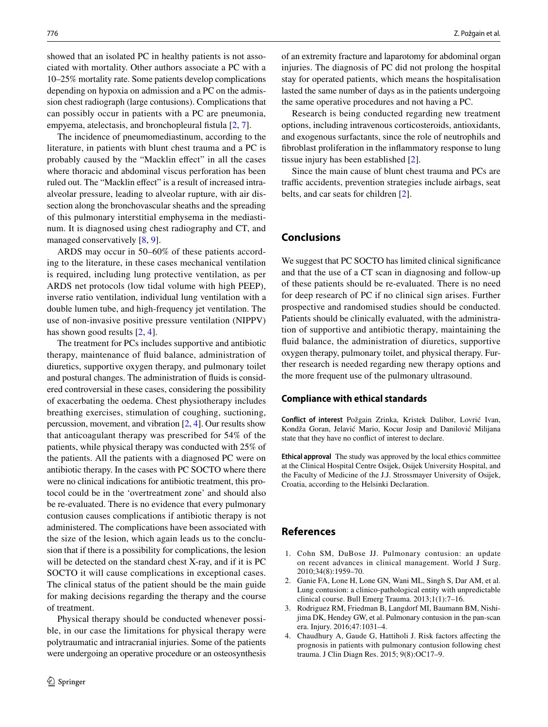showed that an isolated PC in healthy patients is not associated with mortality. Other authors associate a PC with a 10–25% mortality rate. Some patients develop complications depending on hypoxia on admission and a PC on the admission chest radiograph (large contusions). Complications that can possibly occur in patients with a PC are pneumonia, empyema, atelectasis, and bronchopleural fistula [[2,](#page-4-1) [7\]](#page-5-2).

The incidence of pneumomediastinum, according to the literature, in patients with blunt chest trauma and a PC is probably caused by the "Macklin effect" in all the cases where thoracic and abdominal viscus perforation has been ruled out. The "Macklin effect" is a result of increased intraalveolar pressure, leading to alveolar rupture, with air dissection along the bronchovascular sheaths and the spreading of this pulmonary interstitial emphysema in the mediastinum. It is diagnosed using chest radiography and CT, and managed conservatively  $[8, 9]$  $[8, 9]$  $[8, 9]$  $[8, 9]$ .

ARDS may occur in 50–60% of these patients according to the literature, in these cases mechanical ventilation is required, including lung protective ventilation, as per ARDS net protocols (low tidal volume with high PEEP), inverse ratio ventilation, individual lung ventilation with a double lumen tube, and high-frequency jet ventilation. The use of non-invasive positive pressure ventilation (NIPPV) has shown good results [\[2](#page-4-1), [4](#page-4-3)].

The treatment for PCs includes supportive and antibiotic therapy, maintenance of fluid balance, administration of diuretics, supportive oxygen therapy, and pulmonary toilet and postural changes. The administration of fluids is considered controversial in these cases, considering the possibility of exacerbating the oedema. Chest physiotherapy includes breathing exercises, stimulation of coughing, suctioning, percussion, movement, and vibration [[2,](#page-4-1) [4](#page-4-3)]. Our results show that anticoagulant therapy was prescribed for 54% of the patients, while physical therapy was conducted with 25% of the patients. All the patients with a diagnosed PC were on antibiotic therapy. In the cases with PC SOCTO where there were no clinical indications for antibiotic treatment, this protocol could be in the 'overtreatment zone' and should also be re-evaluated. There is no evidence that every pulmonary contusion causes complications if antibiotic therapy is not administered. The complications have been associated with the size of the lesion, which again leads us to the conclusion that if there is a possibility for complications, the lesion will be detected on the standard chest X-ray, and if it is PC SOCTO it will cause complications in exceptional cases. The clinical status of the patient should be the main guide for making decisions regarding the therapy and the course of treatment.

Physical therapy should be conducted whenever possible, in our case the limitations for physical therapy were polytraumatic and intracranial injuries. Some of the patients were undergoing an operative procedure or an osteosynthesis of an extremity fracture and laparotomy for abdominal organ injuries. The diagnosis of PC did not prolong the hospital stay for operated patients, which means the hospitalisation lasted the same number of days as in the patients undergoing the same operative procedures and not having a PC.

Research is being conducted regarding new treatment options, including intravenous corticosteroids, antioxidants, and exogenous surfactants, since the role of neutrophils and fibroblast proliferation in the inflammatory response to lung tissue injury has been established [[2\]](#page-4-1).

Since the main cause of blunt chest trauma and PCs are traffic accidents, prevention strategies include airbags, seat belts, and car seats for children [[2\]](#page-4-1).

### **Conclusions**

We suggest that PC SOCTO has limited clinical significance and that the use of a CT scan in diagnosing and follow-up of these patients should be re-evaluated. There is no need for deep research of PC if no clinical sign arises. Further prospective and randomised studies should be conducted. Patients should be clinically evaluated, with the administration of supportive and antibiotic therapy, maintaining the fluid balance, the administration of diuretics, supportive oxygen therapy, pulmonary toilet, and physical therapy. Further research is needed regarding new therapy options and the more frequent use of the pulmonary ultrasound.

#### **Compliance with ethical standards**

**Conflict of interest** Požgain Zrinka, Kristek Dalibor, Lovrić Ivan, Kondža Goran, Jelavić Mario, Kocur Josip and Danilović Milijana state that they have no conflict of interest to declare.

**Ethical approval** The study was approved by the local ethics committee at the Clinical Hospital Centre Osijek, Osijek University Hospital, and the Faculty of Medicine of the J.J. Strossmayer University of Osijek, Croatia, according to the Helsinki Declaration.

## **References**

- <span id="page-4-0"></span>1. Cohn SM, DuBose JJ. Pulmonary contusion: an update on recent advances in clinical management. World J Surg. 2010;34(8):1959–70.
- <span id="page-4-1"></span>2. Ganie FA, Lone H, Lone GN, Wani ML, Singh S, Dar AM, et al. Lung contusion: a clinico-pathological entity with unpredictable clinical course. Bull Emerg Trauma. 2013;1(1):7–16.
- <span id="page-4-2"></span>3. Rodriguez RM, Friedman B, Langdorf MI, Baumann BM, Nishijima DK, Hendey GW, et al. Pulmonary contusion in the pan-scan era. Injury. 2016;47:1031–4.
- <span id="page-4-3"></span>4. Chaudhury A, Gaude G, Hattiholi J. Risk factors affecting the prognosis in patients with pulmonary contusion following chest trauma. J Clin Diagn Res. 2015; 9(8):OC17–9.